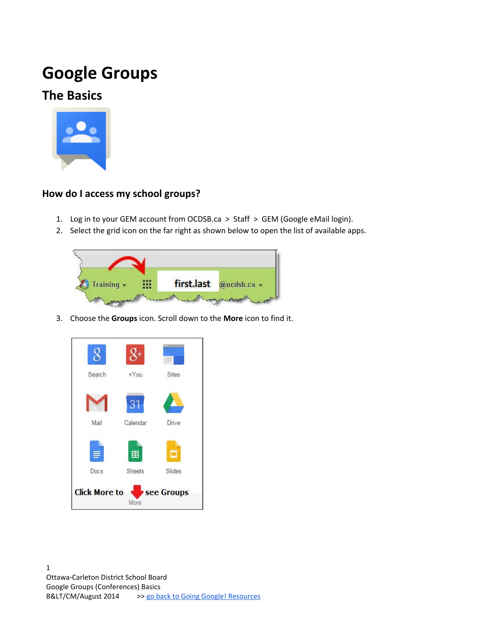# **Google Groups**

# **The Basics**



### **How do I access my school groups?**

- 1. Log in to your GEM account from OCDSB.ca > Staff > GEM (Google eMail login).
- 2. Select the grid icon on the far right as shown below to open the list of available apps.



3. Choose the **Groups** icon. Scroll down to the **More** icon to find it.

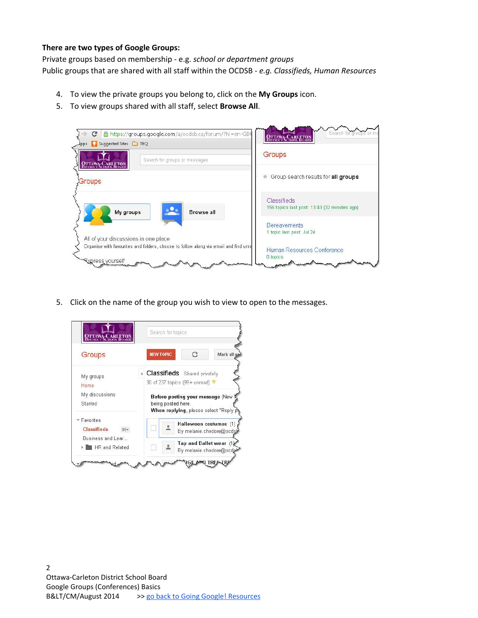#### **There are two types of Google Groups:**

Private groups based on membership - e.g. *school or department groups* Public groups that are shared with all staff within the OCDSB - *e.g. Classifieds, Human Resources*

- 4. To view the private groups you belong to, click on the **My Groups** icon.
- 5. To view groups shared with all staff, select **Browse All**.



5. Click on the name of the group you wish to view to open to the messages.

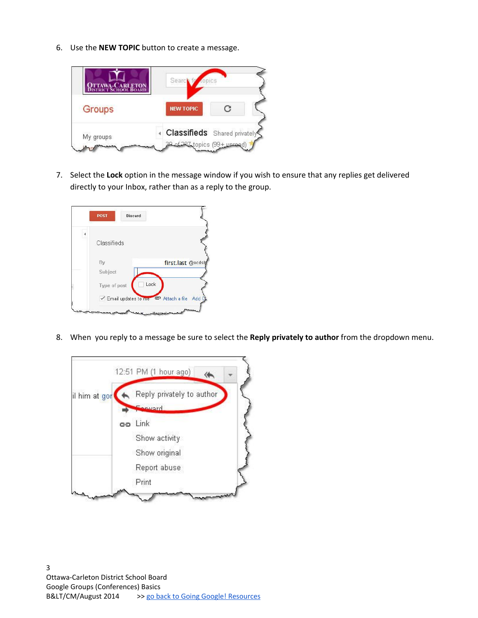6. Use the **NEW TOPIC** button to create a message.



7. Select the **Lock** option in the message window if you wish to ensure that any replies get delivered directly to your Inbox, rather than as a reply to the group.



8. When you reply to a message be sure to select the **Reply privately to author** from the dropdown menu.

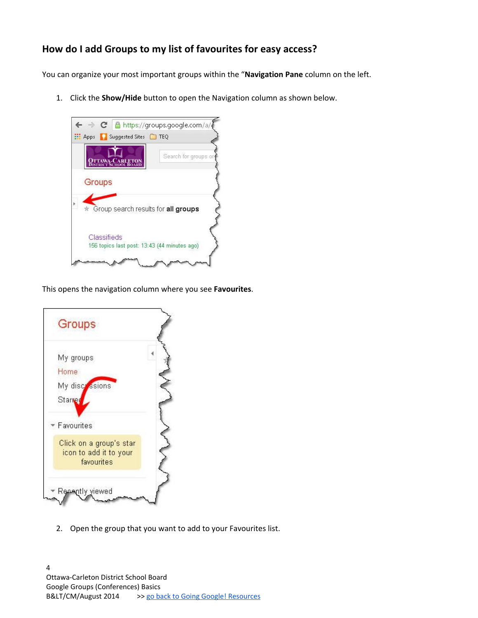### **How do I add Groups to my list of favourites for easy access?**

You can organize your most important groups within the "**Navigation Pane** column on the left.

1. Click the **Show/Hide** button to open the Navigation column as shown below.



This opens the navigation column where you see **Favourites**.



2. Open the group that you want to add to your Favourites list.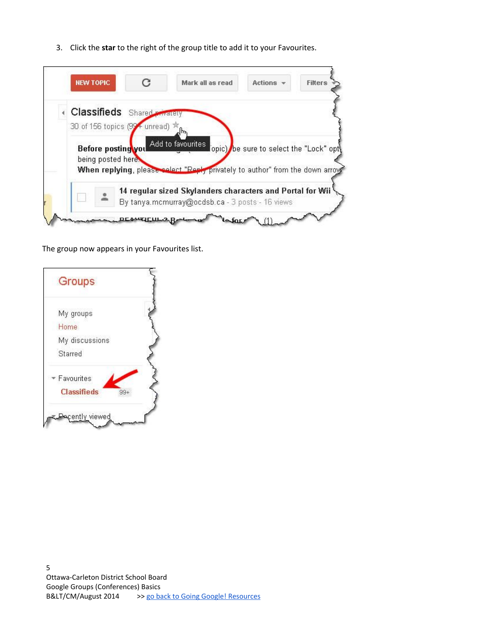3. Click the **star** to the right of the group title to add it to your Favourites.

|  | <b>NEW TOPIC</b>                   |                                          | С | Mark all as read                                                             | Actions $\sim$                         | <b>Filters</b> |
|--|------------------------------------|------------------------------------------|---|------------------------------------------------------------------------------|----------------------------------------|----------------|
|  | <b>Classifieds</b> Shared Fivelety |                                          |   |                                                                              |                                        |                |
|  | 30 of 156 topics (99+ unread) *    |                                          |   |                                                                              |                                        |                |
|  |                                    |                                          |   |                                                                              |                                        |                |
|  |                                    |                                          |   |                                                                              |                                        |                |
|  |                                    | Before posting you<br>being posted here. |   | Add to favourites                                                            | opic) be sure to select the "Lock" opt |                |
|  |                                    |                                          |   | When replying, please select "Reply privately to author" from the down arrow |                                        |                |
|  |                                    |                                          |   | 14 regular sized Skylanders characters and Portal for Wii                    |                                        |                |

The group now appears in your Favourites list.